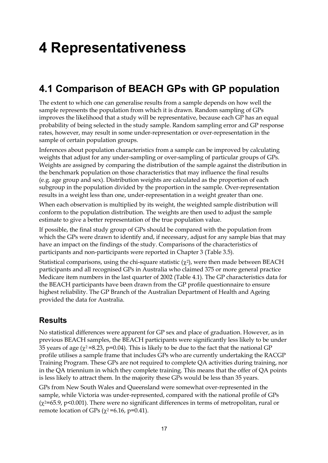# **4 Representativeness**

# **4.1 Comparison of BEACH GPs with GP population**

The extent to which one can generalise results from a sample depends on how well the sample represents the population from which it is drawn. Random sampling of GPs improves the likelihood that a study will be representative, because each GP has an equal probability of being selected in the study sample. Random sampling error and GP response rates, however, may result in some under-representation or over-representation in the sample of certain population groups.

Inferences about population characteristics from a sample can be improved by calculating weights that adjust for any under-sampling or over-sampling of particular groups of GPs. Weights are assigned by comparing the distribution of the sample against the distribution in the benchmark population on those characteristics that may influence the final results (e.g. age group and sex). Distribution weights are calculated as the proportion of each subgroup in the population divided by the proportion in the sample. Over-representation results in a weight less than one, under-representation in a weight greater than one.

When each observation is multiplied by its weight, the weighted sample distribution will conform to the population distribution. The weights are then used to adjust the sample estimate to give a better representation of the true population value.

If possible, the final study group of GPs should be compared with the population from which the GPs were drawn to identify and, if necessary, adjust for any sample bias that may have an impact on the findings of the study. Comparisons of the characteristics of participants and non-participants were reported in Chapter 3 (Table 3.5).

Statistical comparisons, using the chi-square statistic ( $\chi^2$ ), were then made between BEACH participants and all recognised GPs in Australia who claimed 375 or more general practice Medicare item numbers in the last quarter of 2002 (Table 4.1). The GP characteristics data for the BEACH participants have been drawn from the GP profile questionnaire to ensure highest reliability. The GP Branch of the Australian Department of Health and Ageing provided the data for Australia.

#### **Results**

No statistical differences were apparent for GP sex and place of graduation. However, as in previous BEACH samples, the BEACH participants were significantly less likely to be under 35 years of age ( $\chi$ <sup>2</sup>=8.23, p=0.04). This is likely to be due to the fact that the national GP profile utilises a sample frame that includes GPs who are currently undertaking the RACGP Training Program. These GPs are not required to complete QA activities during training, nor in the QA triennium in which they complete training. This means that the offer of QA points is less likely to attract them. In the majority these GPs would be less than 35 years.

GPs from New South Wales and Queensland were somewhat over-represented in the sample, while Victoria was under-represented, compared with the national profile of GPs  $(\chi^2=65.9, p<0.001)$ . There were no significant differences in terms of metropolitan, rural or remote location of GPs  $(\chi^2=6.16, p=0.41)$ .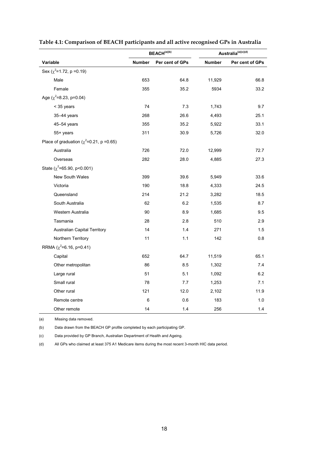|                                                | BEACH <sup>(a)(b)</sup> |                 |        | Australia <sup>(a)(c)(d)</sup> |
|------------------------------------------------|-------------------------|-----------------|--------|--------------------------------|
| Variable                                       | Number                  | Per cent of GPs | Number | Per cent of GPs                |
| Sex ( $\chi^2$ =1.72, p =0.19)                 |                         |                 |        |                                |
| Male                                           | 653                     | 64.8            | 11,929 | 66.8                           |
| Female                                         | 355                     | 35.2            | 5934   | 33.2                           |
| Age ( $\chi^2$ =8.23, p=0.04)                  |                         |                 |        |                                |
| < 35 years                                     | 74                      | 7.3             | 1,743  | 9.7                            |
| 35-44 years                                    | 268                     | 26.6            | 4,493  | 25.1                           |
| 45-54 years                                    | 355                     | 35.2            | 5,922  | 33.1                           |
| 55+ years                                      | 311                     | 30.9            | 5,726  | 32.0                           |
| Place of graduation ( $\chi^2$ =0.21, p =0.65) |                         |                 |        |                                |
| Australia                                      | 726                     | 72.0            | 12,999 | 72.7                           |
| Overseas                                       | 282                     | 28.0            | 4,885  | 27.3                           |
| State ( $\chi^2$ =65.90, p<0.001)              |                         |                 |        |                                |
| <b>New South Wales</b>                         | 399                     | 39.6            | 5,949  | 33.6                           |
| Victoria                                       | 190                     | 18.8            | 4,333  | 24.5                           |
| Queensland                                     | 214                     | 21.2            | 3,282  | 18.5                           |
| South Australia                                | 62                      | 6.2             | 1,535  | 8.7                            |
| Western Australia                              | 90                      | 8.9             | 1,685  | 9.5                            |
| Tasmania                                       | 28                      | 2.8             | 510    | 2.9                            |
| <b>Australian Capital Territory</b>            | 14                      | 1.4             | 271    | 1.5                            |
| Northern Territory                             | 11                      | 1.1             | 142    | 0.8                            |
| RRMA ( $\chi^2$ =6.16, p=0.41)                 |                         |                 |        |                                |
| Capital                                        | 652                     | 64.7            | 11,519 | 65.1                           |
| Other metropolitan                             | 86                      | 8.5             | 1,302  | 7.4                            |
| Large rural                                    | 51                      | 5.1             | 1,092  | 6.2                            |
| Small rural                                    | 78                      | 7.7             | 1,253  | 7.1                            |
| Other rural                                    | 121                     | 12.0            | 2,102  | 11.9                           |
| Remote centre                                  | $\,6$                   | 0.6             | 183    | 1.0                            |
| Other remote                                   | 14                      | 1.4             | 256    | 1.4                            |

|  | Table 4.1: Comparison of BEACH participants and all active recognised GPs in Australia |  |
|--|----------------------------------------------------------------------------------------|--|

(a) Missing data removed.

(b) Data drawn from the BEACH GP profile completed by each participating GP.

(c) Data provided by GP Branch, Australian Department of Health and Ageing.

(d) All GPs who claimed at least 375 A1 Medicare items during the most recent 3-month HIC data period.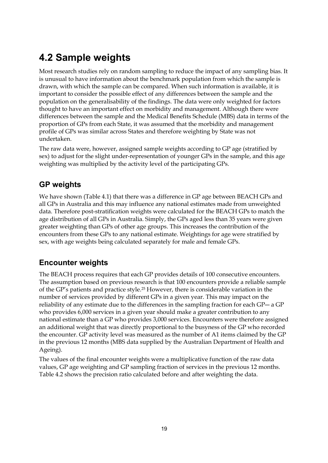# **4.2 Sample weights**

Most research studies rely on random sampling to reduce the impact of any sampling bias. It is unusual to have information about the benchmark population from which the sample is drawn, with which the sample can be compared. When such information is available, it is important to consider the possible effect of any differences between the sample and the population on the generalisability of the findings. The data were only weighted for factors thought to have an important effect on morbidity and management. Although there were differences between the sample and the Medical Benefits Schedule (MBS) data in terms of the proportion of GPs from each State, it was assumed that the morbidity and management profile of GPs was similar across States and therefore weighting by State was not undertaken.

The raw data were, however, assigned sample weights according to GP age (stratified by sex) to adjust for the slight under-representation of younger GPs in the sample, and this age weighting was multiplied by the activity level of the participating GPs.

### **GP weights**

We have shown (Table 4.1) that there was a difference in GP age between BEACH GPs and all GPs in Australia and this may influence any national estimates made from unweighted data. Therefore post-stratification weights were calculated for the BEACH GPs to match the age distribution of all GPs in Australia. Simply, the GPs aged less than 35 years were given greater weighting than GPs of other age groups. This increases the contribution of the encounters from these GPs to any national estimate. Weightings for age were stratified by sex, with age weights being calculated separately for male and female GPs.

## **Encounter weights**

The BEACH process requires that each GP provides details of 100 consecutive encounters. The assumption based on previous research is that 100 encounters provide a reliable sample of the GP's patients and practice style.25 However, there is considerable variation in the number of services provided by different GPs in a given year. This may impact on the reliability of any estimate due to the differences in the sampling fraction for each GP― a GP who provides 6,000 services in a given year should make a greater contribution to any national estimate than a GP who provides 3,000 services. Encounters were therefore assigned an additional weight that was directly proportional to the busyness of the GP who recorded the encounter. GP activity level was measured as the number of A1 items claimed by the GP in the previous 12 months (MBS data supplied by the Australian Department of Health and Ageing).

The values of the final encounter weights were a multiplicative function of the raw data values, GP age weighting and GP sampling fraction of services in the previous 12 months. Table 4.2 shows the precision ratio calculated before and after weighting the data.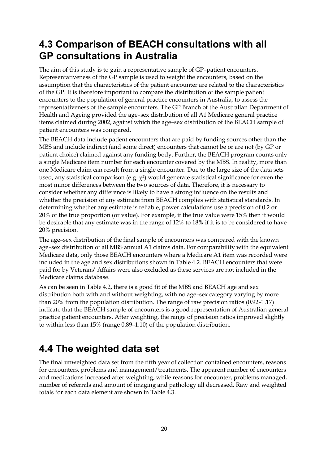## **4.3 Comparison of BEACH consultations with all GP consultations in Australia**

The aim of this study is to gain a representative sample of GP–patient encounters. Representativeness of the GP sample is used to weight the encounters, based on the assumption that the characteristics of the patient encounter are related to the characteristics of the GP. It is therefore important to compare the distribution of the sample patient encounters to the population of general practice encounters in Australia, to assess the representativeness of the sample encounters. The GP Branch of the Australian Department of Health and Ageing provided the age–sex distribution of all A1 Medicare general practice items claimed during 2002, against which the age–sex distribution of the BEACH sample of patient encounters was compared.

The BEACH data include patient encounters that are paid by funding sources other than the MBS and include indirect (and some direct) encounters that cannot be or are not (by GP or patient choice) claimed against any funding body. Further, the BEACH program counts only a single Medicare item number for each encounter covered by the MBS. In reality, more than one Medicare claim can result from a single encounter. Due to the large size of the data sets used, any statistical comparison (e.g.  $\chi$ <sup>2</sup>) would generate statistical significance for even the most minor differences between the two sources of data. Therefore, it is necessary to consider whether any difference is likely to have a strong influence on the results and whether the precision of any estimate from BEACH complies with statistical standards. In determining whether any estimate is reliable, power calculations use a precision of 0.2 or 20% of the true proportion (or value). For example, if the true value were 15% then it would be desirable that any estimate was in the range of 12% to 18% if it is to be considered to have 20% precision.

The age–sex distribution of the final sample of encounters was compared with the known age–sex distribution of all MBS annual A1 claims data. For comparability with the equivalent Medicare data, only those BEACH encounters where a Medicare A1 item was recorded were included in the age and sex distributions shown in Table 4.2. BEACH encounters that were paid for by Veterans' Affairs were also excluded as these services are not included in the Medicare claims database.

As can be seen in Table 4.2, there is a good fit of the MBS and BEACH age and sex distribution both with and without weighting, with no age–sex category varying by more than 20% from the population distribution. The range of raw precision ratios (0.92–1.17) indicate that the BEACH sample of encounters is a good representation of Australian general practice patient encounters. After weighting, the range of precision ratios improved slightly to within less than 15% (range 0.89–1.10) of the population distribution.

# **4.4 The weighted data set**

The final unweighted data set from the fifth year of collection contained encounters, reasons for encounters, problems and management/treatments. The apparent number of encounters and medications increased after weighting, while reasons for encounter, problems managed, number of referrals and amount of imaging and pathology all decreased. Raw and weighted totals for each data element are shown in Table 4.3.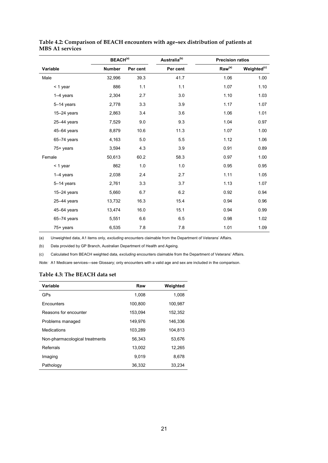| <b>BEACH(a)</b> |               |          | Australia <sup>(b)</sup> | <b>Precision ratios</b>     |                         |  |
|-----------------|---------------|----------|--------------------------|-----------------------------|-------------------------|--|
| Variable        | <b>Number</b> | Per cent | Per cent                 | $\mathsf{Raw}^{\text{(a)}}$ | Weighted <sup>(c)</sup> |  |
| Male            | 32,996        | 39.3     | 41.7                     | 1.06                        | 1.00                    |  |
| < 1 year        | 886           | 1.1      | 1.1                      | 1.07                        | 1.10                    |  |
| $1-4$ years     | 2,304         | 2.7      | 3.0                      | 1.10                        | 1.03                    |  |
| 5-14 years      | 2,778         | 3.3      | 3.9                      | 1.17                        | 1.07                    |  |
| $15-24$ years   | 2,863         | 3.4      | 3.6                      | 1.06                        | 1.01                    |  |
| $25-44$ years   | 7,529         | 9.0      | 9.3                      | 1.04                        | 0.97                    |  |
| $45 - 64$ years | 8,879         | 10.6     | 11.3                     | 1.07                        | 1.00                    |  |
| $65 - 74$ years | 4,163         | 5.0      | 5.5                      | 1.12                        | 1.06                    |  |
| 75+ years       | 3,594         | 4.3      | 3.9                      | 0.91                        | 0.89                    |  |
| Female          | 50,613        | 60.2     | 58.3                     | 0.97                        | 1.00                    |  |
| $<$ 1 year      | 862           | 1.0      | 1.0                      | 0.95                        | 0.95                    |  |
| $1-4$ years     | 2,038         | 2.4      | 2.7                      | 1.11                        | 1.05                    |  |
| $5-14$ years    | 2,761         | 3.3      | 3.7                      | 1.13                        | 1.07                    |  |
| $15-24$ years   | 5,660         | 6.7      | 6.2                      | 0.92                        | 0.94                    |  |
| $25-44$ years   | 13,732        | 16.3     | 15.4                     | 0.94                        | 0.96                    |  |
| 45-64 years     | 13,474        | 16.0     | 15.1                     | 0.94                        | 0.99                    |  |
| $65 - 74$ years | 5,551         | 6.6      | 6.5                      | 0.98                        | 1.02                    |  |
| 75+ years       | 6,535         | 7.8      | 7.8                      | 1.01                        | 1.09                    |  |

**Table 4.2: Comparison of BEACH encounters with age–sex distribution of patients at MBS A1 services**

(a) Unweighted data, A1 items only, *excluding* encounters claimable from the Department of Veterans' Affairs.

(b) Data provided by GP Branch, Australian Department of Health and Ageing.

(c) Calculated from BEACH weighted data, *excluding* encounters claimable from the Department of Veterans' Affairs.

*Note:* A1 Medicare services—see Glossary; only encounters with a valid age and sex are included in the comparison.

#### **Table 4.3: The BEACH data set**

| Variable                       | Raw     | Weighted |
|--------------------------------|---------|----------|
| GPs                            | 1,008   | 1,008    |
| Encounters                     | 100.800 | 100.987  |
| Reasons for encounter          | 153,094 | 152,352  |
| Problems managed               | 149.976 | 146.336  |
| Medications                    | 103,289 | 104,813  |
| Non-pharmacological treatments | 56.343  | 53.676   |
| Referrals                      | 13.002  | 12.265   |
| Imaging                        | 9.019   | 8,678    |
| Pathology                      | 36,332  | 33.234   |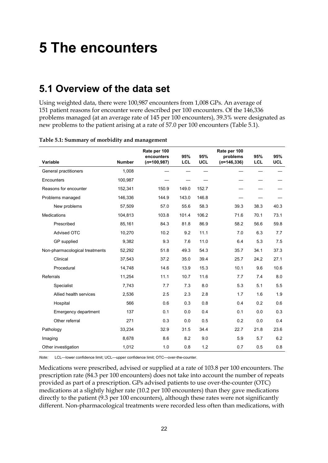# **5 The encounters**

## **5.1 Overview of the data set**

Using weighted data, there were 100,987 encounters from 1,008 GPs. An average of 151 patient reasons for encounter were described per 100 encounters. Of the 146,336 problems managed (at an average rate of 145 per 100 encounters), 39.3% were designated as new problems to the patient arising at a rate of 57.0 per 100 encounters (Table 5.1).

| Variable                       | <b>Number</b> | Rate per 100<br>encounters<br>$(n=100,987)$ | 95%<br><b>LCL</b> | 95%<br><b>UCL</b> | Rate per 100<br>problems<br>$(n=146,336)$ | 95%<br>LCL | 95%<br><b>UCL</b> |
|--------------------------------|---------------|---------------------------------------------|-------------------|-------------------|-------------------------------------------|------------|-------------------|
| General practitioners          | 1,008         |                                             |                   |                   |                                           |            |                   |
| Encounters                     | 100,987       |                                             |                   |                   |                                           |            |                   |
| Reasons for encounter          | 152,341       | 150.9                                       | 149.0             | 152.7             |                                           |            |                   |
| Problems managed               | 146,336       | 144.9                                       | 143.0             | 146.8             |                                           |            |                   |
| New problems                   | 57,509        | 57.0                                        | 55.6              | 58.3              | 39.3                                      | 38.3       | 40.3              |
| <b>Medications</b>             | 104.813       | 103.8                                       | 101.4             | 106.2             | 71.6                                      | 70.1       | 73.1              |
| Prescribed                     | 85,161        | 84.3                                        | 81.8              | 86.9              | 58.2                                      | 56.6       | 59.8              |
| Advised OTC                    | 10,270        | 10.2                                        | 9.2               | 11.1              | 7.0                                       | 6.3        | 7.7               |
| GP supplied                    | 9,382         | 9.3                                         | 7.6               | 11.0              | 6.4                                       | 5.3        | 7.5               |
| Non-pharmacological treatments | 52,292        | 51.8                                        | 49.3              | 54.3              | 35.7                                      | 34.1       | 37.3              |
| Clinical                       | 37,543        | 37.2                                        | 35.0              | 39.4              | 25.7                                      | 24.2       | 27.1              |
| Procedural                     | 14,748        | 14.6                                        | 13.9              | 15.3              | 10.1                                      | 9.6        | 10.6              |
| Referrals                      | 11,254        | 11.1                                        | 10.7              | 11.6              | 7.7                                       | 7.4        | 8.0               |
| Specialist                     | 7,743         | 7.7                                         | 7.3               | 8.0               | 5.3                                       | 5.1        | 5.5               |
| Allied health services         | 2,536         | 2.5                                         | 2.3               | 2.8               | 1.7                                       | 1.6        | 1.9               |
| Hospital                       | 566           | 0.6                                         | 0.3               | 0.8               | 0.4                                       | 0.2        | 0.6               |
| Emergency department           | 137           | 0.1                                         | 0.0               | 0.4               | 0.1                                       | 0.0        | 0.3               |
| Other referral                 | 271           | 0.3                                         | 0.0               | 0.5               | 0.2                                       | 0.0        | 0.4               |
| Pathology                      | 33,234        | 32.9                                        | 31.5              | 34.4              | 22.7                                      | 21.8       | 23.6              |
| Imaging                        | 8,678         | 8.6                                         | 8.2               | 9.0               | 5.9                                       | 5.7        | 6.2               |
| Other investigation            | 1,012         | 1.0                                         | 0.8               | 1.2               | 0.7                                       | 0.5        | 0.8               |

#### **Table 5.1: Summary of morbidity and management**

*Note:* LCL—lower confidence limit; UCL—upper confidence limit; OTC—over-the-counter.

Medications were prescribed, advised or supplied at a rate of 103.8 per 100 encounters. The prescription rate (84.3 per 100 encounters) does not take into account the number of repeats provided as part of a prescription. GPs advised patients to use over-the-counter (OTC) medications at a slightly higher rate (10.2 per 100 encounters) than they gave medications directly to the patient (9.3 per 100 encounters), although these rates were not significantly different. Non-pharmacological treatments were recorded less often than medications, with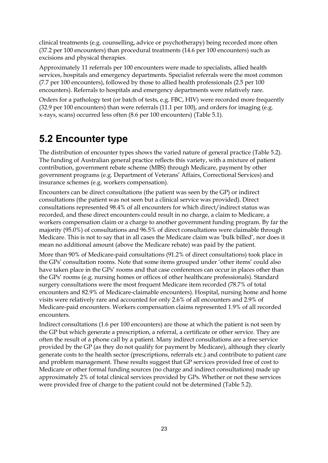clinical treatments (e.g. counselling, advice or psychotherapy) being recorded more often (37.2 per 100 encounters) than procedural treatments (14.6 per 100 encounters) such as excisions and physical therapies.

Approximately 11 referrals per 100 encounters were made to specialists, allied health services, hospitals and emergency departments. Specialist referrals were the most common (7.7 per 100 encounters), followed by those to allied health professionals (2.5 per 100 encounters). Referrals to hospitals and emergency departments were relatively rare.

Orders for a pathology test (or batch of tests, e.g. FBC, HIV) were recorded more frequently (32.9 per 100 encounters) than were referrals (11.1 per 100), and orders for imaging (e.g. x-rays, scans) occurred less often (8.6 per 100 encounters) (Table 5.1).

## **5.2 Encounter type**

The distribution of encounter types shows the varied nature of general practice (Table 5.2). The funding of Australian general practice reflects this variety, with a mixture of patient contribution, government rebate scheme (MBS) through Medicare, payment by other government programs (e.g. Department of Veterans' Affairs, Correctional Services) and insurance schemes (e.g. workers compensation).

Encounters can be direct consultations (the patient was seen by the GP) or indirect consultations (the patient was not seen but a clinical service was provided). Direct consultations represented 98.4% of all encounters for which direct/indirect status was recorded, and these direct encounters could result in no charge, a claim to Medicare, a workers compensation claim or a charge to another government funding program. By far the majority (95.0%) of consultations and 96.5% of direct consultations were claimable through Medicare. This is not to say that in all cases the Medicare claim was 'bulk billed', nor does it mean no additional amount (above the Medicare rebate) was paid by the patient.

More than 90% of Medicare-paid consultations (91.2% of direct consultations) took place in the GPs' consultation rooms. Note that some items grouped under 'other items' could also have taken place in the GPs' rooms and that case conferences can occur in places other than the GPs' rooms (e.g. nursing homes or offices of other healthcare professionals). Standard surgery consultations were the most frequent Medicare item recorded (78.7% of total encounters and 82.9% of Medicare-claimable encounters). Hospital, nursing home and home visits were relatively rare and accounted for only 2.6% of all encounters and 2.9% of Medicare-paid encounters. Workers compensation claims represented 1.9% of all recorded encounters.

Indirect consultations (1.6 per 100 encounters) are those at which the patient is not seen by the GP but which generate a prescription, a referral, a certificate or other service. They are often the result of a phone call by a patient. Many indirect consultations are a free service provided by the GP (as they do not qualify for payment by Medicare), although they clearly generate costs to the health sector (prescriptions, referrals etc.) and contribute to patient care and problem management. These results suggest that GP services provided free of cost to Medicare or other formal funding sources (no charge and indirect consultations) made up approximately 2% of total clinical services provided by GPs. Whether or not these services were provided free of charge to the patient could not be determined (Table 5.2).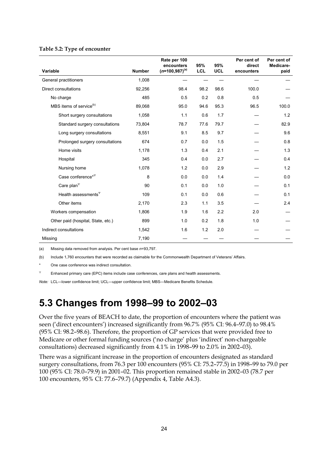#### **Table 5.2: Type of encounter**

| Variable                            | <b>Number</b> | Rate per 100<br>encounters<br>$(n=100,987)^{(a)}$ | 95%<br>LCL | 95%<br><b>UCL</b> | Per cent of<br>direct<br>encounters | Per cent of<br>Medicare-<br>paid |
|-------------------------------------|---------------|---------------------------------------------------|------------|-------------------|-------------------------------------|----------------------------------|
| General practitioners               | 1,008         |                                                   |            |                   |                                     |                                  |
| Direct consultations                | 92,256        | 98.4                                              | 98.2       | 98.6              | 100.0                               |                                  |
| No charge                           | 485           | 0.5                                               | 0.2        | 0.8               | 0.5                                 |                                  |
| MBS items of service <sup>(b)</sup> | 89,068        | 95.0                                              | 94.6       | 95.3              | 96.5                                | 100.0                            |
| Short surgery consultations         | 1,058         | 1.1                                               | 0.6        | 1.7               |                                     | 1.2                              |
| Standard surgery consultations      | 73,804        | 78.7                                              | 77.6       | 79.7              |                                     | 82.9                             |
| Long surgery consultations          | 8,551         | 9.1                                               | 8.5        | 9.7               |                                     | 9.6                              |
| Prolonged surgery consultations     | 674           | 0.7                                               | 0.0        | 1.5               |                                     | 0.8                              |
| Home visits                         | 1,178         | 1.3                                               | 0.4        | 2.1               |                                     | 1.3                              |
| Hospital                            | 345           | 0.4                                               | 0.0        | 2.7               |                                     | 0.4                              |
| Nursing home                        | 1,078         | 1.2                                               | 0.0        | 2.9               |                                     | 1.2                              |
| Case conference* <sup>\pp</sup>     | 8             | 0.0                                               | 0.0        | 1.4               |                                     | 0.0                              |
| Care plan $\Psi$                    | 90            | 0.1                                               | 0.0        | 1.0               |                                     | 0.1                              |
| Health assessments $\Psi$           | 109           | 0.1                                               | 0.0        | 0.6               |                                     | 0.1                              |
| Other items                         | 2,170         | 2.3                                               | 1.1        | 3.5               |                                     | 2.4                              |
| Workers compensation                | 1,806         | 1.9                                               | 1.6        | 2.2               | 2.0                                 |                                  |
| Other paid (hospital, State, etc.)  | 899           | 1.0                                               | 0.2        | 1.8               | 1.0                                 |                                  |
| Indirect consultations              | 1,542         | 1.6                                               | 1.2        | 2.0               |                                     |                                  |
| Missing                             | 7,190         |                                                   |            |                   |                                     |                                  |

(a) Missing data removed from analysis. Per cent base *n*=93,797.

(b) Include 1,760 encounters that were recorded as claimable for the Commonwealth Department of Veterans' Affairs.

One case conference was indirect consultation.

 $\mathbb{P}$  Enhanced primary care (EPC) items include case conferences, care plans and health assessments.

*Note:* LCL—lower confidence limit; UCL—upper confidence limit; MBS—Medicare Benefits Schedule.

## **5.3 Changes from 1998–99 to 2002–03**

Over the five years of BEACH to date, the proportion of encounters where the patient was seen ('direct encounters') increased significantly from 96.7% (95% CI: 96.4–97.0) to 98.4% (95% CI: 98.2–98.6). Therefore, the proportion of GP services that were provided free to Medicare or other formal funding sources ('no charge' plus 'indirect' non-chargeable consultations) decreased significantly from 4.1% in 1998–99 to 2.0% in 2002–03).

There was a significant increase in the proportion of encounters designated as standard surgery consultations, from 76.3 per 100 encounters (95% CI: 75.2–77.5) in 1998–99 to 79.0 per 100 (95% CI: 78.0–79.9) in 2001–02. This proportion remained stable in 2002–03 (78.7 per 100 encounters, 95% CI: 77.6–79.7) (Appendix 4, Table A4.3).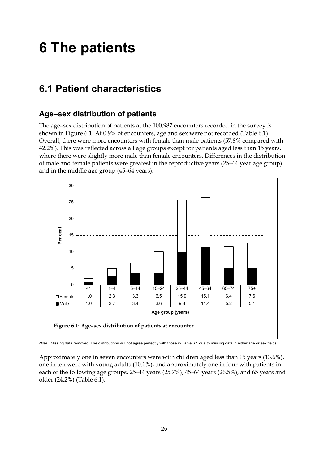# **6 The patients**

## **6.1 Patient characteristics**

#### **Age–sex distribution of patients**

The age–sex distribution of patients at the 100,987 encounters recorded in the survey is shown in Figure 6.1. At 0.9% of encounters, age and sex were not recorded (Table 6.1). Overall, there were more encounters with female than male patients (57.8% compared with 42.2%). This was reflected across all age groups except for patients aged less than 15 years, where there were slightly more male than female encounters. Differences in the distribution of male and female patients were greatest in the reproductive years (25–44 year age group) and in the middle age group (45–64 years).



*Note:* Missing data removed. The distributions will not agree perfectly with those in Table 6.1 due to missing data in either age or sex fields.

Approximately one in seven encounters were with children aged less than 15 years (13.6%), one in ten were with young adults (10.1%), and approximately one in four with patients in each of the following age groups, 25–44 years (25.7%), 45–64 years (26.5%), and 65 years and older (24.2%) (Table 6.1).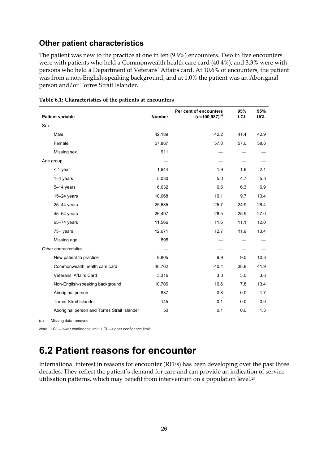#### **Other patient characteristics**

The patient was new to the practice at one in ten (9.9%) encounters. Two in five encounters were with patients who held a Commonwealth health care card (40.4%), and 3.3% were with persons who held a Department of Veterans' Affairs card. At 10.6% of encounters, the patient was from a non-English-speaking background, and at 1.0% the patient was an Aboriginal person and/or Torres Strait Islander.

| <b>Patient variable</b>                      | <b>Number</b> | Per cent of encounters<br>$(n=100,987)^{(a)}$ | 95%<br>LCL | 95%<br><b>UCL</b> |
|----------------------------------------------|---------------|-----------------------------------------------|------------|-------------------|
| Sex                                          |               |                                               |            |                   |
| Male                                         | 42,189        | 42.2                                          | 41.4       | 42.9              |
| Female                                       | 57,887        | 57.8                                          | 57.0       | 58.6              |
| Missing sex                                  | 911           |                                               |            |                   |
| Age group                                    |               |                                               |            |                   |
| < 1 year                                     | 1,944         | 1.9                                           | 1.8        | 2.1               |
| $1-4$ years                                  | 5,030         | 5.0                                           | 4.7        | 5.3               |
| 5-14 years                                   | 6,632         | 6.6                                           | 6.3        | 6.9               |
| $15-24$ years                                | 10,068        | 10.1                                          | 9.7        | 10.4              |
| $25-44$ years                                | 25,685        | 25.7                                          | 24.9       | 26.4              |
| $45 - 64$ years                              | 26,497        | 26.5                                          | 25.9       | 27.0              |
| $65 - 74$ years                              | 11,566        | 11.6                                          | 11.1       | 12.0              |
| 75+ years                                    | 12,671        | 12.7                                          | 11.9       | 13.4              |
| Missing age                                  | 895           |                                               |            |                   |
| Other characteristics                        |               |                                               |            |                   |
| New patient to practice                      | 9,805         | 9.9                                           | $9.0\,$    | 10.8              |
| Commonwealth health care card                | 40,762        | 40.4                                          | 38.8       | 41.9              |
| Veterans' Affairs Card                       | 3,316         | 3.3                                           | 3.0        | 3.6               |
| Non-English-speaking background              | 10,706        | 10.6                                          | 7.8        | 13.4              |
| Aboriginal person                            | 837           | 0.8                                           | 0.0        | 1.7               |
| <b>Torres Strait Islander</b>                | 145           | 0.1                                           | 0.0        | 0.9               |
| Aboriginal person and Torres Strait Islander | 50            | 0.1                                           | 0.0        | 1.3               |

**Table 6.1: Characteristics of the patients at encounters**

(a) Missing data removed.

*Note:* LCL—lower confidence limit; UCL—upper confidence limit.

## **6.2 Patient reasons for encounter**

International interest in reasons for encounter (RFEs) has been developing over the past three decades. They reflect the patient's demand for care and can provide an indication of service utilisation patterns, which may benefit from intervention on a population level.26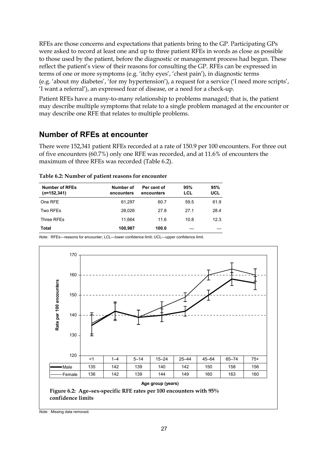RFEs are those concerns and expectations that patients bring to the GP. Participating GPs were asked to record at least one and up to three patient RFEs in words as close as possible to those used by the patient, before the diagnostic or management process had begun. These reflect the patient's view of their reasons for consulting the GP. RFEs can be expressed in terms of one or more symptoms (e.g. 'itchy eyes', 'chest pain'), in diagnostic terms (e.g. 'about my diabetes', 'for my hypertension'), a request for a service ('I need more scripts', 'I want a referral'), an expressed fear of disease, or a need for a check-up.

Patient RFEs have a many-to-many relationship to problems managed; that is, the patient may describe multiple symptoms that relate to a single problem managed at the encounter or may describe one RFE that relates to multiple problems.

#### **Number of RFEs at encounter**

There were 152,341 patient RFEs recorded at a rate of 150.9 per 100 encounters. For three out of five encounters (60.7%) only one RFE was recorded, and at 11.6% of encounters the maximum of three RFEs was recorded (Table 6.2).

| <b>Number of RFEs</b><br>$(n=152,341)$ | Number of<br>encounters | Per cent of<br>encounters | 95%<br>LCL | 95%<br>UCL |
|----------------------------------------|-------------------------|---------------------------|------------|------------|
| One RFE                                | 61,297                  | 60.7                      | 59.5       | 61.9       |
| Two RFEs                               | 28.026                  | 27.8                      | 27.1       | 28.4       |
| Three RFEs                             | 11.664                  | 11.6                      | 10.8       | 12.3       |
| <b>Total</b>                           | 100,987                 | 100.0                     |            |            |



*Note:* RFEs—reasons for encounter; LCL—lower confidence limit; UCL—upper confidence limit.

*Note:* Missing data removed.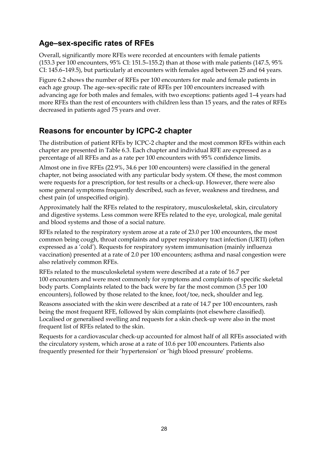### **Age–sex-specific rates of RFEs**

Overall, significantly more RFEs were recorded at encounters with female patients (153.3 per 100 encounters, 95% CI: 151.5–155.2) than at those with male patients (147.5, 95% CI: 145.6–149.5), but particularly at encounters with females aged between 25 and 64 years.

Figure 6.2 shows the number of RFEs per 100 encounters for male and female patients in each age group. The age–sex-specific rate of RFEs per 100 encounters increased with advancing age for both males and females, with two exceptions: patients aged 1–4 years had more RFEs than the rest of encounters with children less than 15 years, and the rates of RFEs decreased in patients aged 75 years and over.

#### **Reasons for encounter by ICPC-2 chapter**

The distribution of patient RFEs by ICPC-2 chapter and the most common RFEs within each chapter are presented in Table 6.3. Each chapter and individual RFE are expressed as a percentage of all RFEs and as a rate per 100 encounters with 95% confidence limits.

Almost one in five RFEs (22.9%, 34.6 per 100 encounters) were classified in the general chapter, not being associated with any particular body system. Of these, the most common were requests for a prescription, for test results or a check-up. However, there were also some general symptoms frequently described, such as fever, weakness and tiredness, and chest pain (of unspecified origin).

Approximately half the RFEs related to the respiratory, musculoskeletal, skin, circulatory and digestive systems. Less common were RFEs related to the eye, urological, male genital and blood systems and those of a social nature.

RFEs related to the respiratory system arose at a rate of 23.0 per 100 encounters, the most common being cough, throat complaints and upper respiratory tract infection (URTI) (often expressed as a 'cold'). Requests for respiratory system immunisation (mainly influenza vaccination) presented at a rate of 2.0 per 100 encounters; asthma and nasal congestion were also relatively common RFEs.

RFEs related to the musculoskeletal system were described at a rate of 16.7 per 100 encounters and were most commonly for symptoms and complaints of specific skeletal body parts. Complaints related to the back were by far the most common (3.5 per 100 encounters), followed by those related to the knee, foot/toe, neck, shoulder and leg.

Reasons associated with the skin were described at a rate of 14.7 per 100 encounters, rash being the most frequent RFE, followed by skin complaints (not elsewhere classified). Localised or generalised swelling and requests for a skin check-up were also in the most frequent list of RFEs related to the skin.

Requests for a cardiovascular check-up accounted for almost half of all RFEs associated with the circulatory system, which arose at a rate of 10.6 per 100 encounters. Patients also frequently presented for their 'hypertension' or 'high blood pressure' problems.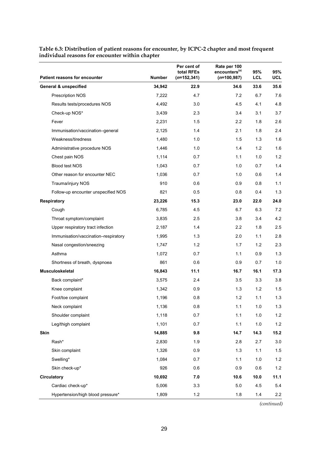|      | <b>Patient reasons for encounter</b> | <b>Number</b> | Per cent of<br>total RFEs<br>$(n=152,341)$ | Rate per 100<br>encounters <sup>(a)</sup><br>$(n=100, 987)$ | 95%<br>LCL | 95%<br>UCL |
|------|--------------------------------------|---------------|--------------------------------------------|-------------------------------------------------------------|------------|------------|
|      | <b>General &amp; unspecified</b>     | 34,942        | 22.9                                       | 34.6                                                        | 33.6       | 35.6       |
|      | Prescription NOS                     | 7,222         | 4.7                                        | 7.2                                                         | 6.7        | 7.6        |
|      | Results tests/procedures NOS         | 4,492         | 3.0                                        | 4.5                                                         | 4.1        | 4.8        |
|      | Check-up NOS*                        | 3,439         | 2.3                                        | 3.4                                                         | 3.1        | 3.7        |
|      | Fever                                | 2,231         | 1.5                                        | 2.2                                                         | 1.8        | 2.6        |
|      | Immunisation/vaccination-general     | 2,125         | 1.4                                        | 2.1                                                         | 1.8        | 2.4        |
|      | Weakness/tiredness                   | 1,480         | 1.0                                        | 1.5                                                         | 1.3        | 1.6        |
|      | Administrative procedure NOS         | 1,446         | 1.0                                        | 1.4                                                         | 1.2        | 1.6        |
|      | Chest pain NOS                       | 1,114         | 0.7                                        | 1.1                                                         | 1.0        | 1.2        |
|      | <b>Blood test NOS</b>                | 1,043         | 0.7                                        | 1.0                                                         | 0.7        | 1.4        |
|      | Other reason for encounter NEC       | 1,036         | 0.7                                        | 1.0                                                         | 0.6        | 1.4        |
|      | Trauma/injury NOS                    | 910           | 0.6                                        | 0.9                                                         | 0.8        | 1.1        |
|      | Follow-up encounter unspecified NOS  | 821           | 0.5                                        | 0.8                                                         | 0.4        | 1.3        |
|      | <b>Respiratory</b>                   | 23,226        | 15.3                                       | 23.0                                                        | 22.0       | 24.0       |
|      | Cough                                | 6,785         | 4.5                                        | 6.7                                                         | 6.3        | 7.2        |
|      | Throat symptom/complaint             | 3,835         | 2.5                                        | 3.8                                                         | 3.4        | 4.2        |
|      | Upper respiratory tract infection    | 2,187         | 1.4                                        | 2.2                                                         | 1.8        | 2.5        |
|      | Immunisation/vaccination-respiratory | 1,995         | 1.3                                        | 2.0                                                         | 1.1        | 2.8        |
|      | Nasal congestion/sneezing            | 1,747         | 1.2                                        | 1.7                                                         | 1.2        | 2.3        |
|      | Asthma                               | 1,072         | 0.7                                        | 1.1                                                         | 0.9        | 1.3        |
|      | Shortness of breath, dyspnoea        | 861           | 0.6                                        | 0.9                                                         | 0.7        | 1.0        |
|      | <b>Musculoskeletal</b>               | 16,843        | 11.1                                       | 16.7                                                        | 16.1       | 17.3       |
|      | Back complaint*                      | 3,575         | 2.4                                        | 3.5                                                         | 3.3        | 3.8        |
|      | Knee complaint                       | 1,342         | 0.9                                        | 1.3                                                         | $1.2$      | 1.5        |
|      | Foot/toe complaint                   | 1,196         | 0.8                                        | 1.2                                                         | 1.1        | 1.3        |
|      | Neck complaint                       | 1.136         | 0.8                                        | 1.1                                                         | 1.0        | 1.3        |
|      | Shoulder complaint                   | 1,118         | 0.7                                        | 1.1                                                         | $1.0$      | $1.2$      |
|      | Leg/thigh complaint                  | 1,101         | 0.7                                        | 1.1                                                         | 1.0        | $1.2$      |
| Skin |                                      | 14,885        | 9.8                                        | 14.7                                                        | 14.3       | 15.2       |
|      | Rash*                                | 2,830         | 1.9                                        | 2.8                                                         | 2.7        | 3.0        |
|      | Skin complaint                       | 1,326         | 0.9                                        | 1.3                                                         | 1.1        | 1.5        |
|      | Swelling*                            | 1,084         | 0.7                                        | 1.1                                                         | 1.0        | $1.2$      |
|      | Skin check-up*                       | 926           | 0.6                                        | 0.9                                                         | 0.6        | $1.2$      |
|      | <b>Circulatory</b>                   | 10,692        | 7.0                                        | 10.6                                                        | 10.0       | 11.1       |
|      | Cardiac check-up*                    | 5,006         | 3.3                                        | 5.0                                                         | 4.5        | 5.4        |
|      | Hypertension/high blood pressure*    | 1,809         | $1.2$                                      | 1.8                                                         | 1.4        | $2.2\,$    |

**Table 6.3: Distribution of patient reasons for encounter, by ICPC-2 chapter and most frequent individual reasons for encounter within chapter**

*(continued)*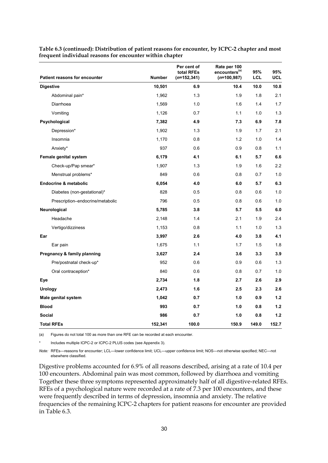|                                      |               | Per cent of<br>total RFEs | Rate per 100<br>encounters <sup>(a)</sup> | 95%   | 95%        |
|--------------------------------------|---------------|---------------------------|-------------------------------------------|-------|------------|
| <b>Patient reasons for encounter</b> | <b>Number</b> | $(n=152,341)$             | $(n=100, 987)$                            | LCL   | <b>UCL</b> |
| <b>Digestive</b>                     | 10,501        | 6.9                       | 10.4                                      | 10.0  | 10.8       |
| Abdominal pain*                      | 1,962         | 1.3                       | 1.9                                       | 1.8   | 2.1        |
| Diarrhoea                            | 1,569         | 1.0                       | 1.6                                       | 1.4   | 1.7        |
| Vomiting                             | 1,126         | 0.7                       | 1.1                                       | 1.0   | 1.3        |
| Psychological                        | 7,382         | 4.9                       | 7.3                                       | 6.9   | 7.8        |
| Depression*                          | 1,902         | 1.3                       | 1.9                                       | 1.7   | 2.1        |
| Insomnia                             | 1,170         | 0.8                       | 1.2                                       | 1.0   | 1.4        |
| Anxiety*                             | 937           | 0.6                       | 0.9                                       | 0.8   | 1.1        |
| Female genital system                | 6,179         | 4.1                       | 6.1                                       | 5.7   | 6.6        |
| Check-up/Pap smear*                  | 1,907         | 1.3                       | 1.9                                       | 1.6   | 2.2        |
| Menstrual problems*                  | 849           | 0.6                       | 0.8                                       | 0.7   | 1.0        |
| <b>Endocrine &amp; metabolic</b>     | 6,054         | 4.0                       | 6.0                                       | 5.7   | 6.3        |
| Diabetes (non-gestational)*          | 828           | 0.5                       | 0.8                                       | 0.6   | 1.0        |
| Prescription-endocrine/metabolic     | 796           | 0.5                       | 0.8                                       | 0.6   | 1.0        |
| Neurological                         | 5,785         | 3.8                       | 5.7                                       | 5.5   | 6.0        |
| Headache                             | 2,148         | 1.4                       | 2.1                                       | 1.9   | 2.4        |
| Vertigo/dizziness                    | 1,153         | 0.8                       | 1.1                                       | 1.0   | 1.3        |
| Ear                                  | 3,997         | 2.6                       | 4.0                                       | 3.8   | 4.1        |
| Ear pain                             | 1,675         | 1.1                       | 1.7                                       | 1.5   | 1.8        |
| Pregnancy & family planning          | 3,627         | 2.4                       | 3.6                                       | 3.3   | 3.9        |
| Pre/postnatal check-up*              | 952           | 0.6                       | 0.9                                       | 0.6   | 1.3        |
| Oral contraception*                  | 840           | 0.6                       | 0.8                                       | 0.7   | 1.0        |
| Eye                                  | 2,734         | 1.8                       | 2.7                                       | 2.6   | 2.9        |
| <b>Urology</b>                       | 2,473         | 1.6                       | 2.5                                       | 2.3   | 2.6        |
| Male genital system                  | 1,042         | 0.7                       | 1.0                                       | 0.9   | 1.2        |
| <b>Blood</b>                         | 993           | 0.7                       | 1.0                                       | 0.8   | 1.2        |
| <b>Social</b>                        | 986           | 0.7                       | 1.0                                       | 0.8   | 1.2        |
| <b>Total RFEs</b>                    | 152,341       | 100.0                     | 150.9                                     | 149.0 | 152.7      |

**Table 6.3 (continued): Distribution of patient reasons for encounter, by ICPC-2 chapter and most frequent individual reasons for encounter within chapter**

(a) Figures do not total 100 as more than one RFE can be recorded at each encounter.

Includes multiple ICPC-2 or ICPC-2 PLUS codes (see Appendix 3).

*Note:* RFEs—reasons for encounter; LCL—lower confidence limit; UCL—upper confidence limit; NOS—not otherwise specified; NEC—not elsewhere classified.

Digestive problems accounted for 6.9% of all reasons described, arising at a rate of 10.4 per 100 encounters. Abdominal pain was most common, followed by diarrhoea and vomiting Together these three symptoms represented approximately half of all digestive-related RFEs. RFEs of a psychological nature were recorded at a rate of 7.3 per 100 encounters, and these were frequently described in terms of depression, insomnia and anxiety. The relative frequencies of the remaining ICPC-2 chapters for patient reasons for encounter are provided in Table 6.3.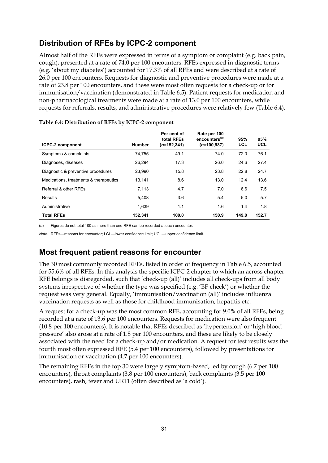### **Distribution of RFEs by ICPC-2 component**

Almost half of the RFEs were expressed in terms of a symptom or complaint (e.g. back pain, cough), presented at a rate of 74.0 per 100 encounters. RFEs expressed in diagnostic terms (e.g. 'about my diabetes') accounted for 17.3% of all RFEs and were described at a rate of 26.0 per 100 encounters. Requests for diagnostic and preventive procedures were made at a rate of 23.8 per 100 encounters, and these were most often requests for a check-up or for immunisation/vaccination (demonstrated in Table 6.5). Patient requests for medication and non-pharmacological treatments were made at a rate of 13.0 per 100 encounters, while requests for referrals, results, and administrative procedures were relatively few (Table 6.4).

| <b>ICPC-2 component</b>                | <b>Number</b> | Per cent of<br>total RFEs<br>$(n=152,341)$ | Rate per 100<br>encounters <sup>(a)</sup><br>$(n=100.987)$ | 95%<br>LCL | 95%<br><b>UCL</b> |
|----------------------------------------|---------------|--------------------------------------------|------------------------------------------------------------|------------|-------------------|
| Symptoms & complaints                  | 74.755        | 49.1                                       | 74.0                                                       | 72.0       | 76.1              |
| Diagnoses, diseases                    | 26.294        | 17.3                                       | 26.0                                                       | 24.6       | 27.4              |
| Diagnostic & preventive procedures     | 23.990        | 15.8                                       | 23.8                                                       | 22.8       | 24.7              |
| Medications, treatments & therapeutics | 13.141        | 8.6                                        | 13.0                                                       | 12.4       | 13.6              |
| Referral & other RFEs                  | 7,113         | 4.7                                        | 7.0                                                        | 6.6        | 7.5               |
| Results                                | 5.408         | 3.6                                        | 5.4                                                        | 5.0        | 5.7               |
| Administrative                         | 1,639         | 1.1                                        | 1.6                                                        | 1.4        | 1.8               |
| <b>Total RFEs</b>                      | 152.341       | 100.0                                      | 150.9                                                      | 149.0      | 152.7             |

#### **Table 6.4: Distribution of RFEs by ICPC-2 component**

(a) Figures do not total 100 as more than one RFE can be recorded at each encounter.

*Note:* RFEs—reasons for encounter; LCL—lower confidence limit; UCL—upper confidence limit.

#### **Most frequent patient reasons for encounter**

The 30 most commonly recorded RFEs, listed in order of frequency in Table 6.5, accounted for 55.6% of all RFEs. In this analysis the specific ICPC-2 chapter to which an across chapter RFE belongs is disregarded, such that 'check-up (all)' includes all check-ups from all body systems irrespective of whether the type was specified (e.g. 'BP check') or whether the request was very general. Equally, 'immunisation/vaccination (all)' includes influenza vaccination requests as well as those for childhood immunisation, hepatitis etc.

A request for a check-up was the most common RFE, accounting for 9.0% of all RFEs, being recorded at a rate of 13.6 per 100 encounters. Requests for medication were also frequent (10.8 per 100 encounters). It is notable that RFEs described as 'hypertension' or 'high blood pressure' also arose at a rate of 1.8 per 100 encounters, and these are likely to be closely associated with the need for a check-up and/or medication. A request for test results was the fourth most often expressed RFE (5.4 per 100 encounters), followed by presentations for immunisation or vaccination (4.7 per 100 encounters).

The remaining RFEs in the top 30 were largely symptom-based, led by cough (6.7 per 100 encounters), throat complaints (3.8 per 100 encounters), back complaints (3.5 per 100 encounters), rash, fever and URTI (often described as 'a cold').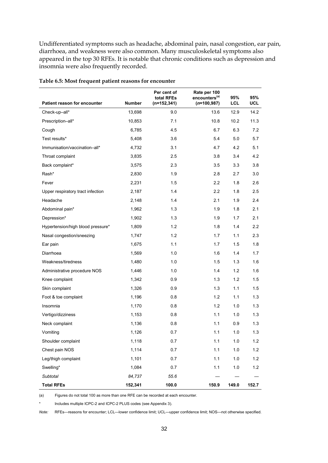Undifferentiated symptoms such as headache, abdominal pain, nasal congestion, ear pain, diarrhoea, and weakness were also common. Many musculoskeletal symptoms also appeared in the top 30 RFEs. It is notable that chronic conditions such as depression and insomnia were also frequently recorded.

|                                   |               | Per cent of<br>total RFEs | Rate per 100<br>encounters <sup>(a)</sup> | 95%        | 95%        |
|-----------------------------------|---------------|---------------------------|-------------------------------------------|------------|------------|
| Patient reason for encounter      | <b>Number</b> | (n=152,341)               | $(n=100, 987)$                            | <b>LCL</b> | <b>UCL</b> |
| Check-up-all*                     | 13,698        | 9.0                       | 13.6                                      | 12.9       | 14.2       |
| Prescription-all*                 | 10,853        | 7.1                       | 10.8                                      | 10.2       | 11.3       |
| Cough                             | 6,785         | 4.5                       | 6.7                                       | 6.3        | 7.2        |
| Test results*                     | 5,408         | 3.6                       | 5.4                                       | 5.0        | 5.7        |
| Immunisation/vaccination-all*     | 4,732         | 3.1                       | 4.7                                       | 4.2        | 5.1        |
| Throat complaint                  | 3,835         | 2.5                       | 3.8                                       | 3.4        | 4.2        |
| Back complaint*                   | 3,575         | 2.3                       | 3.5                                       | 3.3        | 3.8        |
| Rash*                             | 2,830         | 1.9                       | 2.8                                       | 2.7        | 3.0        |
| Fever                             | 2,231         | 1.5                       | 2.2                                       | 1.8        | 2.6        |
| Upper respiratory tract infection | 2,187         | 1.4                       | 2.2                                       | 1.8        | 2.5        |
| Headache                          | 2,148         | 1.4                       | 2.1                                       | 1.9        | 2.4        |
| Abdominal pain*                   | 1,962         | 1.3                       | 1.9                                       | 1.8        | 2.1        |
| Depression*                       | 1,902         | 1.3                       | 1.9                                       | 1.7        | 2.1        |
| Hypertension/high blood pressure* | 1,809         | 1.2                       | 1.8                                       | 1.4        | 2.2        |
| Nasal congestion/sneezing         | 1,747         | 1.2                       | 1.7                                       | 1.1        | 2.3        |
| Ear pain                          | 1,675         | 1.1                       | 1.7                                       | 1.5        | 1.8        |
| Diarrhoea                         | 1,569         | 1.0                       | 1.6                                       | 1.4        | 1.7        |
| Weakness/tiredness                | 1,480         | 1.0                       | 1.5                                       | 1.3        | 1.6        |
| Administrative procedure NOS      | 1,446         | 1.0                       | 1.4                                       | 1.2        | 1.6        |
| Knee complaint                    | 1,342         | 0.9                       | 1.3                                       | 1.2        | 1.5        |
| Skin complaint                    | 1,326         | 0.9                       | 1.3                                       | 1.1        | 1.5        |
| Foot & toe complaint              | 1,196         | 0.8                       | 1.2                                       | 1.1        | 1.3        |
| Insomnia                          | 1,170         | 0.8                       | 1.2                                       | 1.0        | 1.3        |
| Vertigo/dizziness                 | 1,153         | 0.8                       | 1.1                                       | 1.0        | 1.3        |
| Neck complaint                    | 1,136         | 0.8                       | 1.1                                       | 0.9        | 1.3        |
| Vomiting                          | 1,126         | 0.7                       | 1.1                                       | 1.0        | 1.3        |
| Shoulder complaint                | 1,118         | 0.7                       | 1.1                                       | 1.0        | 1.2        |
| Chest pain NOS                    | 1,114         | 0.7                       | 1.1                                       | $1.0$      | 1.2        |
| Leg/thigh complaint               | 1,101         | 0.7                       | 1.1                                       | 1.0        | $1.2$      |
| Swelling*                         | 1,084         | 0.7                       | 1.1                                       | 1.0        | $1.2$      |
| Subtotal                          | 84,737        | 55.6                      |                                           |            |            |
| <b>Total RFEs</b>                 | 152,341       | 100.0                     | 150.9                                     | 149.0      | 152.7      |

#### **Table 6.5: Most frequent patient reasons for encounter**

(a) Figures do not total 100 as more than one RFE can be recorded at each encounter.

\* Includes multiple ICPC-2 and ICPC-2 PLUS codes (see Appendix 3).

*Note:* RFEs—reasons for encounter; LCL—lower confidence limit; UCL—upper confidence limit; NOS—not otherwise specified.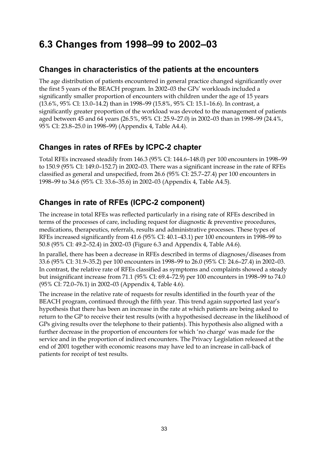# **6.3 Changes from 1998–99 to 2002–03**

#### **Changes in characteristics of the patients at the encounters**

The age distribution of patients encountered in general practice changed significantly over the first 5 years of the BEACH program. In 2002–03 the GPs' workloads included a significantly smaller proportion of encounters with children under the age of 15 years (13.6%, 95% CI: 13.0–14.2) than in 1998–99 (15.8%, 95% CI: 15.1–16.6). In contrast, a significantly greater proportion of the workload was devoted to the management of patients aged between 45 and 64 years (26.5%, 95% CI: 25.9–27.0) in 2002–03 than in 1998–99 (24.4%, 95% CI: 23.8–25.0 in 1998–99) (Appendix 4, Table A4.4).

### **Changes in rates of RFEs by ICPC-2 chapter**

Total RFEs increased steadily from 146.3 (95% CI: 144.6–148.0) per 100 encounters in 1998–99 to 150.9 (95% CI: 149.0–152.7) in 2002–03. There was a significant increase in the rate of RFEs classified as general and unspecified, from 26.6 (95% CI: 25.7–27.4) per 100 encounters in 1998–99 to 34.6 (95% CI: 33.6–35.6) in 2002–03 (Appendix 4, Table A4.5).

## **Changes in rate of RFEs (ICPC-2 component)**

The increase in total RFEs was reflected particularly in a rising rate of RFEs described in terms of the processes of care, including request for diagnostic & preventive procedures, medications, therapeutics, referrals, results and administrative processes. These types of RFEs increased significantly from 41.6 (95% CI: 40.1–43.1) per 100 encounters in 1998–99 to 50.8 (95% CI: 49.2–52.4) in 2002–03 (Figure 6.3 and Appendix 4, Table A4.6).

In parallel, there has been a decrease in RFEs described in terms of diagnoses/diseases from 33.6 (95% CI: 31.9–35.2) per 100 encounters in 1998–99 to 26.0 (95% CI: 24.6–27.4) in 2002–03. In contrast, the relative rate of RFEs classified as symptoms and complaints showed a steady but insignificant increase from 71.1 (95% CI: 69.4–72.9) per 100 encounters in 1998–99 to 74.0 (95% CI: 72.0–76.1) in 2002–03 (Appendix 4, Table 4.6).

The increase in the relative rate of requests for results identified in the fourth year of the BEACH program, continued through the fifth year. This trend again supported last year's hypothesis that there has been an increase in the rate at which patients are being asked to return to the GP to receive their test results (with a hypothesised decrease in the likelihood of GPs giving results over the telephone to their patients). This hypothesis also aligned with a further decrease in the proportion of encounters for which 'no charge' was made for the service and in the proportion of indirect encounters. The Privacy Legislation released at the end of 2001 together with economic reasons may have led to an increase in call-back of patients for receipt of test results.